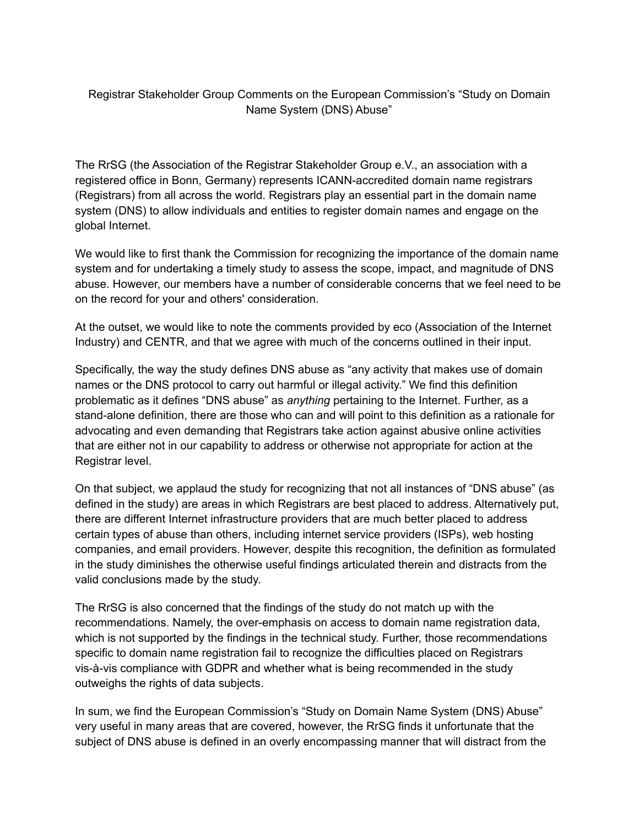## Registrar Stakeholder Group Comments on the European Commission's "Study on Domain Name System (DNS) Abuse"

The RrSG (the Association of the Registrar Stakeholder Group e.V., an association with a registered office in Bonn, Germany) represents ICANN-accredited domain name registrars (Registrars) from all across the world. Registrars play an essential part in the domain name system (DNS) to allow individuals and entities to register domain names and engage on the global Internet.

We would like to first thank the Commission for recognizing the importance of the domain name system and for undertaking a timely study to assess the scope, impact, and magnitude of DNS abuse. However, our members have a number of considerable concerns that we feel need to be on the record for your and others' consideration.

At the outset, we would like to note the comments provided by eco (Association of the Internet Industry) and CENTR, and that we agree with much of the concerns outlined in their input.

Specifically, the way the study defines DNS abuse as "any activity that makes use of domain names or the DNS protocol to carry out harmful or illegal activity." We find this definition problematic as it defines "DNS abuse" as *anything* pertaining to the Internet. Further, as a stand-alone definition, there are those who can and will point to this definition as a rationale for advocating and even demanding that Registrars take action against abusive online activities that are either not in our capability to address or otherwise not appropriate for action at the Registrar level.

On that subject, we applaud the study for recognizing that not all instances of "DNS abuse" (as defined in the study) are areas in which Registrars are best placed to address. Alternatively put, there are different Internet infrastructure providers that are much better placed to address certain types of abuse than others, including internet service providers (ISPs), web hosting companies, and email providers. However, despite this recognition, the definition as formulated in the study diminishes the otherwise useful findings articulated therein and distracts from the valid conclusions made by the study.

The RrSG is also concerned that the findings of the study do not match up with the recommendations. Namely, the over-emphasis on access to domain name registration data, which is not supported by the findings in the technical study. Further, those recommendations specific to domain name registration fail to recognize the difficulties placed on Registrars vis-à-vis compliance with GDPR and whether what is being recommended in the study outweighs the rights of data subjects.

In sum, we find the European Commission's "Study on Domain Name System (DNS) Abuse" very useful in many areas that are covered, however, the RrSG finds it unfortunate that the subject of DNS abuse is defined in an overly encompassing manner that will distract from the